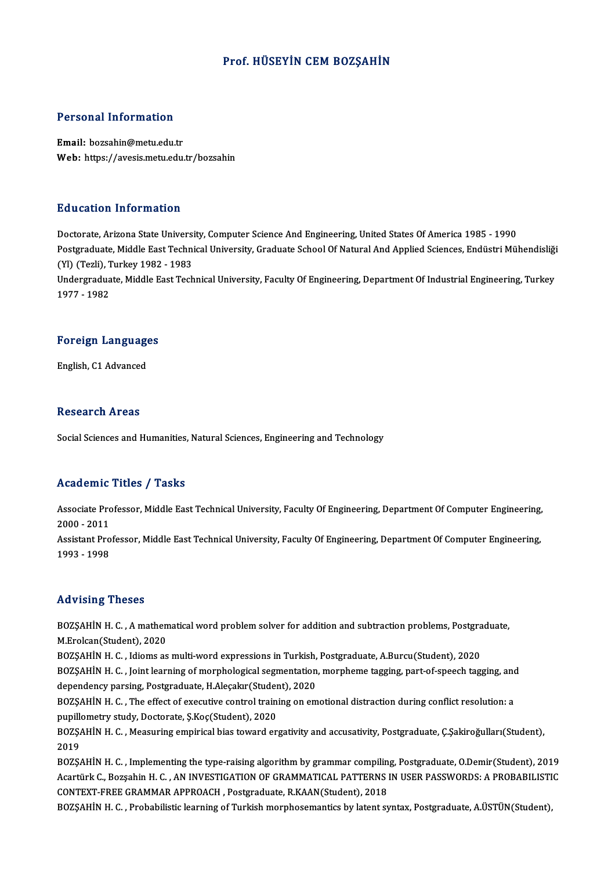### Prof. HÜSEYİN CEM BOZSAHİN

### Personal Information

Email: bozsahin@metu.edu.tr Web: https://avesis.metu.edu.tr/bozsahin

### Education Information

E<mark>ducation Information</mark><br>Doctorate, Arizona State University, Computer Science And Engineering, United States Of America 1985 - 1990<br>Postsraduate Middle Fast Technical University, Craduate School Of Natural And Applied Scie Postgraduate, Middle East Technical University, Graduate School Of Natural And Applied Sciences, Endüstri Mühendisliği Doctorate, Arizona State Universi<br>Postgraduate, Middle East Techni<br>(Yl) (Tezli), Turkey 1982 - 1983<br>Undergraduate Middle Fest Tech Undergraduate, Middle East Technical University, Faculty Of Engineering, Department Of Industrial Engineering, Turkey<br>1977 - 1982 (Yl) (Tezli), Turkey 1982 - 1983

## 1977 - 1982<br>Foreign Languages F<mark>oreign Languag</mark>e<br>English, C1 Advanced

English, C1 Advanced<br>Research Areas

Social Sciences and Humanities, Natural Sciences, Engineering and Technology

### Academic Titles / Tasks

Academic Titles / Tasks<br>Associate Professor, Middle East Technical University, Faculty Of Engineering, Department Of Computer Engineering,<br>2000–2011 Associate Pro<br>2000 - 2011<br>Assistant Pro Associate Professor, Middle East Technical University, Faculty Of Engineering, Department Of Computer Engineering,<br>2000 - 2011<br>Assistant Professor, Middle East Technical University, Faculty Of Engineering, Department Of Co

2000 - 2011<br>Assistant Professor, Middle East Technical University, Faculty Of Engineering, Department Of Computer Engineering,<br>1993 - 1998

### Advising Theses

Advising Theses<br>BOZŞAHİN H. C. , A mathematical word problem solver for addition and subtraction problems, Postgraduate,<br>M.Frolsan(Student), 2020 May Islam<br>BOZŞAHİN H. C. , A mathen<br>M.Erolcan(Student), 2020<br>BOZSAHİN H. G. - Idiams as BOZŞAHİN H. C. , A mathematical word problem solver for addition and subtraction problems, Postgra<br>M.Erolcan(Student), 2020<br>BOZŞAHİN H. C. , Idioms as multi-word expressions in Turkish, Postgraduate, A.Burcu(Student), 2020

M.Erolcan(Student), 2020<br>BOZŞAHİN H. C. , Idioms as multi-word expressions in Turkish, Postgraduate, A.Burcu(Student), 2020<br>BOZŞAHİN H. C. , Joint learning of morphological segmentation, morpheme tagging, part-of-speech ta BOZŞAHİN H. C. , Idioms as multi-word expressions in Turkish,<br>BOZŞAHİN H. C. , Joint learning of morphological segmentation<br>dependency parsing, Postgraduate, H.Aleçakır(Student), 2020<br>BOZSAHİN H. C. , The effect of executi BOZŞAHİN H. C. , Joint learning of morphological segmentation, morpheme tagging, part-of-speech tagging, and<br>dependency parsing, Postgraduate, H.Aleçakır(Student), 2020<br>BOZŞAHİN H. C. , The effect of executive control trai

dependency parsing, Postgraduate, H.Aleçakır (Student), 2020<br>BOZŞAHİN H. C. , The effect of executive control training on emotional distraction during conflict resolution: a<br>pupillometry study, Doctorate, Ş.Koç(Student), 2 BOZŞAHİN H. C. , The effect of executive control training on emotional distraction during conflict resolution: a<br>pupillometry study, Doctorate, Ş.Koç(Student), 2020<br>BOZŞAHİN H. C. , Measuring empirical bias toward ergativi

pupille<br>BOZŞA<br>2019<br>BOZSA BOZŞAHİN H. C. , Measuring empirical bias toward ergativity and accusativity, Postgraduate, Ç.Şakiroğulları(Student),<br>2019<br>BOZŞAHİN H. C. , Implementing the type-raising algorithm by grammar compiling, Postgraduate, O.Demi

2019<br>BOZŞAHİN H. C. , Implementing the type-raising algorithm by grammar compiling, Postgraduate, O.Demir(Student), 2019<br>Acartürk C., Bozşahin H. C. , AN INVESTIGATION OF GRAMMATICAL PATTERNS IN USER PASSWORDS: A PROBABILI BOZŞAHİN H. C. , Implementing the type-raising algorithm by grammar compilin<br>Acartürk C., Bozşahin H. C. , AN INVESTIGATION OF GRAMMATICAL PATTERNS |<br>CONTEXT-FREE GRAMMAR APPROACH , Postgraduate, R.KAAN(Student), 2018<br>BOZS Acartürk C., Bozşahin H. C. , AN INVESTIGATION OF GRAMMATICAL PATTERNS IN USER PASSWORDS: A PROBABILISTIC<br>CONTEXT-FREE GRAMMAR APPROACH , Postgraduate, R.KAAN(Student), 2018<br>BOZŞAHİN H. C. , Probabilistic learning of Turki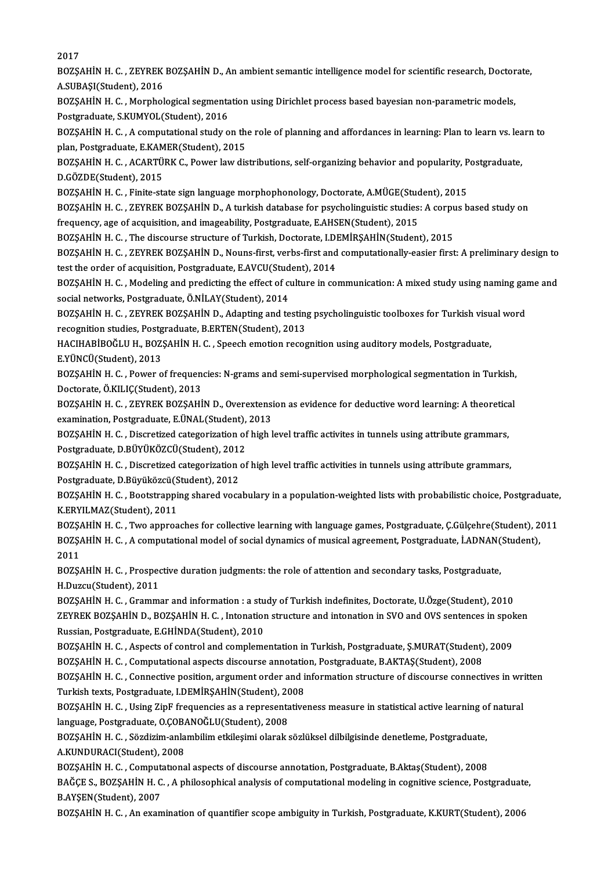2017

2017<br>BOZŞAHİN H. C. , ZEYREK BOZŞAHİN D., An ambient semantic intelligence model for scientific research, Doctorate,<br>A SUPASI(Student), 2016 2017<br>BOZŞAHİN H. C. , ZEYREK<br>A.SUBAŞI(Student), 2016<br>POZSAHİN H. C. Morphol BOZŞAHİN H. C. , ZEYREK BOZŞAHİN D., An ambient semantic intelligence model for scientific research, Doctor<br>A.SUBAŞI(Student), 2016<br>BOZŞAHİN H. C. , Morphological segmentation using Dirichlet process based bayesian non-par

A.SUBAŞI(Student), 2016<br>BOZŞAHİN H. C. , Morphological segmenta<br>Postgraduate, S.KUMYOL(Student), 2016<br>POZSAHİN H. C. , A computational study o BOZŞAHİN H. C. , Morphological segmentation using Dirichlet process based bayesian non-parametric models,<br>Postgraduate, S.KUMYOL(Student), 2016<br>BOZŞAHİN H. C. , A computational study on the role of planning and affordances

Postgraduate, S.KUMYOL(Student), 2016<br>BOZŞAHİN H. C. , A computational study on the<br>plan, Postgraduate, E.KAMER(Student), 2015<br>POZSAHİN H. C. ACAPTÜRK C. Power law die BOZŞAHİN H. C. , A computational study on the role of planning and affordances in learning: Plan to learn vs. lea<br>plan, Postgraduate, E.KAMER(Student), 2015<br>BOZŞAHİN H. C. , ACARTÜRK C., Power law distributions, self-organ

plan, Postgraduate, E.KAMER(Student), 2015<br>BOZŞAHİN H. C. , ACARTÜRK C., Power law distributions, self-organizing behavior and popularity, Postgraduate,<br>D.GÖZDE(Student), 2015 BOZŞAHİN H. C. , ACARTÜRK C., Power law distributions, self-organizing behavior and popularity, P<br>D.GÖZDE(Student), 2015<br>BOZŞAHİN H. C. , Finite-state sign language morphophonology, Doctorate, A.MÜGE(Student), 2015<br>BOZSAHİ

D.GÖZDE(Student), 2015<br>BOZŞAHİN H. C. , Finite-state sign language morphophonology, Doctorate, A.MÜGE(Student), 2015<br>BOZŞAHİN H. C. , ZEYREK BOZŞAHİN D., A turkish database for psycholinguistic studies: A corpus based stud FOZSAHİN H. C. , Finite-state sign language morphophonology, Doctorate, A.MÜGE(Student)<br>Frequency, age of acquisition, and imageability, Postgraduate, E.AHSEN(Student), 2015<br>POZSAHİN H. C. , The discourse structure of Turk BOZŞAHİN H. C. , ZEYREK BOZŞAHİN D., A turkish database for psycholinguistic studies: A corpurior frequency, age of acquisition, and imageability, Postgraduate, E.AHSEN(Student), 2015<br>BOZŞAHİN H. C. , The discourse structu

frequency, age of acquisition, and imageability, Postgraduate, E.AHSEN(Student), 2015<br>BOZŞAHİN H. C. , The discourse structure of Turkish, Doctorate, I.DEMİRŞAHİN(Student), 2015<br>BOZŞAHİN H. C. , ZEYREK BOZŞAHİN D., Nouns-f BOZŞAHİN H. C. , The discourse structure of Turkish, Doctorate, I.D.<br>BOZŞAHİN H. C. , ZEYREK BOZŞAHİN D., Nouns-first, verbs-first and<br>test the order of acquisition, Postgraduate, E.AVCU(Student), 2014<br>BOZSAHİN H. C., Mode BOZŞAHİN H. C. , ZEYREK BOZŞAHİN D., Nouns-first, verbs-first and computationally-easier first: A preliminary design to<br>test the order of acquisition, Postgraduate, E.AVCU(Student), 2014<br>BOZŞAHİN H. C. , Modeling and predi

test the order of acquisition, Postgraduate, E.AVCU(Student), 2014<br>BOZŞAHİN H. C. , Modeling and predicting the effect of culture in communication: A mixed study using naming game and<br>social networks, Postgraduate, Ö.NİLAY BOZŞAHİN H. C. , Modeling and predicting the effect of culture in communication: A mixed study using naming gar<br>social networks, Postgraduate, Ö.NİLAY(Student), 2014<br>BOZŞAHİN H. C. , ZEYREK BOZŞAHİN D., Adapting and testin

social networks, Postgraduate, Ö.NİLAY(Student), 2014<br>BOZŞAHİN H. C. , ZEYREK BOZŞAHİN D., Adapting and testing<br>recognition studies, Postgraduate, B.ERTEN(Student), 2013<br>HACIHARİROĞLU H. ROZSAHİN H. G. Speeck emetian recee BOZŞAHİN H. C. , ZEYREK BOZŞAHİN D., Adapting and testing psycholinguistic toolboxes for Turkish visu<br>recognition studies, Postgraduate, B.ERTEN(Student), 2013<br>HACIHABİBOĞLU H., BOZŞAHİN H. C. , Speech emotion recognition

recognition studies, Postg<br>HACIHABİBOĞLU H., BOZ;<br>E.YÜNCÜ(Student), 2013<br>BOZSAHİN H. C., Power o

HACIHABİBOĞLU H., BOZŞAHİN H. C. , Speech emotion recognition using auditory models, Postgraduate,<br>E.YÜNCÜ(Student), 2013<br>BOZŞAHİN H. C. , Power of frequencies: N-grams and semi-supervised morphological segmentation in Tur E.YÜNCÜ(Student), 2013<br>BOZŞAHİN H. C. , Power of frequencies: N-grams and semi-supervised morphological segmentation in Turkish,<br>Doctorate, Ö.KILIÇ(Student), 2013 BOZŞAHİN H. C. , Power of frequencies: N-grams and semi-supervised morphological segmentation in Turkish,<br>Doctorate, Ö.KILIÇ(Student), 2013<br>BOZŞAHİN H. C. , ZEYREK BOZŞAHİN D., Overextension as evidence for deductive word

Doctorate, Ö.KILIÇ(Student), 2013<br>BOZŞAHİN H. C. , ZEYREK BOZŞAHİN D., Overextensi<br>examination, Postgraduate, E.ÜNAL(Student), 2013<br>BOZSAHİN H. G., Diseretired extegerization of birb l BOZŞAHİN H. C. , ZEYREK BOZŞAHİN D., Overextension as evidence for deductive word learning: A theoretica<br>examination, Postgraduate, E.ÜNAL(Student), 2013<br>BOZŞAHİN H. C. , Discretized categorization of high level traffic ac

examination, Postgraduate, E.ÜNAL(Student),<br>BOZŞAHİN H. C. , Discretized categorization of<br>Postgraduate, D.BÜYÜKÖZCÜ(Student), 2012<br>POZSAHİN H. C., Discretized sategorization of BOZŞAHİN H. C. , Discretized categorization of high level traffic activites in tunnels using attribute grammars,<br>Postgraduate, D.BÜYÜKÖZCÜ(Student), 2012<br>BOZŞAHİN H. C. , Discretized categorization of high level traffic ac

Postgraduate, D.BÜYÜKÖZCÜ(Student), 2012<br>BOZŞAHİN H. C. , Discretized categorization<br>Postgraduate, D.Büyüközcü(Student), 2012<br>BOZSAHİN H. C. - Boststranning shared vega

BOZŞAHİN H. C. , Discretized categorization of high level traffic activities in tunnels using attribute grammars,<br>Postgraduate, D.Büyüközcü(Student), 2012<br>BOZŞAHİN H. C. , Bootstrapping shared vocabulary in a population-we Postgraduate, D.Büyüközcü(S<br>BOZŞAHİN H. C. , Bootstrappi<br>K.ERYILMAZ(Student), 2011<br>BOZSAHİN H. G. Ture annuas

BOZŞAHİN H.C., Two approaches for collective learning with language games, Postgraduate, Ç.Gülçehre(Student), 2011 K.ERYILMAZ(Student), 2011<br>BOZŞAHİN H. C. , Two approaches for collective learning with language games, Postgraduate, Ç.Gülçehre(Student), 2<br>BOZŞAHİN H. C. , A computational model of social dynamics of musical agreement, Po 1025<br>2025<br>2011<br>2025 BOZŞAHİN H. C. , A computational model of social dynamics of musical agreement, Postgraduate, İ.ADNAN(<br>2011<br>BOZŞAHİN H. C. , Prospective duration judgments: the role of attention and secondary tasks, Postgraduate,<br>H.Durau(

2011<br>BOZŞAHİN H. C. , Prospective duration judgments: the role of attention and secondary tasks, Postgraduate,<br>H.Duzcu(Student). 2011

BOZŞAHİN H.C., Grammar and information: a study of Turkish indefinites, Doctorate, U.Özge(Student), 2010 H.Duzcu(Student), 2011<br>BOZŞAHİN H. C. , Grammar and information : a study of Turkish indefinites, Doctorate, U.Özge(Student), 2010<br>ZEYREK BOZŞAHİN D., BOZŞAHİN H. C. , Intonation structure and intonation in SVO and OVS sen BOZŞAHİN H. C. , Grammar and information : a stu<br>ZEYREK BOZŞAHİN D., BOZŞAHİN H. C. , Intonation<br>Russian, Postgraduate, E.GHİNDA(Student), 2010<br>BOZSAHİN H. C. , Aspects of sontrol and somplame ZEYREK BOZŞAHİN D., BOZŞAHİN H. C. , Intonation structure and intonation in SVO and OVS sentences in spol<br>Russian, Postgraduate, E.GHİNDA(Student), 2010<br>BOZŞAHİN H. C. , Aspects of control and complementation in Turkish, P

Russian, Postgraduate, E.GHİNDA(Student), 2010<br>BOZŞAHİN H. C. , Aspects of control and complementation in Turkish, Postgraduate, Ş.MURAT(Student)<br>BOZŞAHİN H. C. , Computational aspects discourse annotation, Postgraduate, B BOZŞAHİN H. C. , Aspects of control and complementation in Turkish, Postgraduate, Ş.MURAT(Student), 2009<br>BOZŞAHİN H. C. , Computational aspects discourse annotation, Postgraduate, B.AKTAŞ(Student), 2008<br>BOZŞAHİN H. C. , Co

BOZŞAHİN H. C. , Computational aspects discourse annotation<br>BOZŞAHİN H. C. , Connective position, argument order and i<br>Turkish texts, Postgraduate, I.DEMİRŞAHİN(Student), 2008<br>BOZSAHİN H. C. , Heing ZinE frequencies as a r BOZŞAHİN H. C. , Connective position, argument order and information structure of discourse connectives in wri<br>Turkish texts, Postgraduate, I.DEMİRŞAHİN(Student), 2008<br>BOZŞAHİN H. C. , Using ZipF frequencies as a represent

Turkish texts, Postgraduate, I.DEMİRŞAHİN(Student), 2008<br>BOZŞAHİN H. C. , Using ZipF frequencies as a representative<br>language. Postgraduate. O.COBANOĞLU(Student). 2008 BOZŞAHİN H. C. , Using ZipF frequencies as a representativeness measure in statistical active learning o<br>language, Postgraduate, O.ÇOBANOĞLU(Student), 2008<br>BOZŞAHİN H. C. , Sözdizim-anlambilim etkileşimi olarak sözlüksel d

BOZŞAHİN H. C. , Sözdizim-anlambilim etkileşimi olarak sözlüksel dilbilgisinde denetleme, Postgraduate, A.KUNDURACI(Student), 2008 BOZŞAHİN H. C. , Sözdizim-anlambilim etkileşimi olarak sözlüksel dilbilgisinde denetleme, Postgraduate,<br>A.KUNDURACI(Student), 2008<br>BOZŞAHİN H. C. , Computational aspects of discourse annotation, Postgraduate, B.Aktaş(Stude

BAĞÇE S., BOZŞAHİN H. C. , A philosophical analysis of computational modeling in cognitive science, Postgraduate,<br>B.AYŞEN(Student), 2007 BOZŞAHİN H. C. , Comput<br>BAĞÇE S., BOZŞAHİN H. C<br>B.AYŞEN(Student), 2007<br>BOZSAHİN H. C. - An ayan

BOZSAHIN H.C., An examination of quantifier scope ambiguity in Turkish, Postgraduate, K.KURT(Student), 2006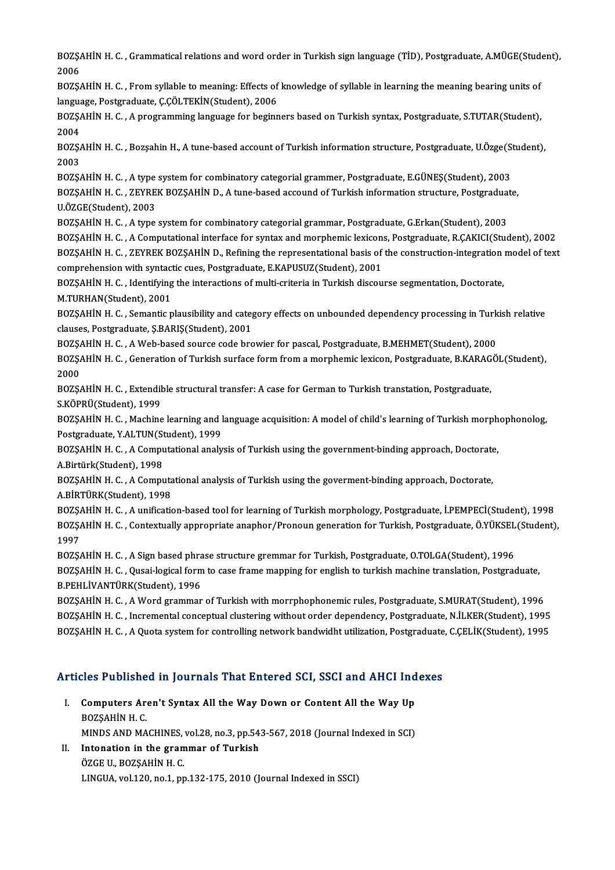BOZŞAHİN H. C. , Grammatical relations and word order in Turkish sign language (TİD), Postgraduate, A.MÜGE(Student),<br>2006 80ZŞ BOZŞAHİN H. C. , Grammatical relations and word order in Turkish sign language (TİD), Postgraduate, A.MÜGE(Stud<br>2006<br>BOZŞAHİN H. C. , From syllable to meaning: Effects of knowledge of syllable in learning the meaning beari

2006<br>BOZŞAHİN H. C. , From syllable to meaning: Effects of<br>language, Postgraduate, Ç.ÇÖLTEKİN(Student), 2006<br>POZSAHİN H. C. - A programming language for beginn BOZŞAHİN H. C. , From syllable to meaning: Effects of knowledge of syllable in learning the meaning bearing units of<br>language, Postgraduate, Ç.ÇÖLTEKİN(Student), 2006<br>BOZŞAHİN H. C. , A programming language for beginners b

langua<br>BOZŞ*l*<br>2004<br>POZS BOZŞAHİN H. C. , A programming language for beginners based on Turkish syntax, Postgraduate, S.TUTAR(Student),<br>2004<br>BOZŞAHİN H. C. , Bozşahin H., A tune-based account of Turkish information structure, Postgraduate, U.Özge(

2004<br>BOZŞA<br>2003<br>BOZSA BOZŞAHİN H. C. , Bozşahin H., A tune-based account of Turkish information structure, Postgraduate, U.Özge(St<br>2003<br>BOZŞAHİN H. C. , A type system for combinatory categorial grammer, Postgraduate, E.GÜNEŞ(Student), 2003<br>BOZS

2003<br>BOZŞAHİN H. C. , A type system for combinatory categorial grammer, Postgraduate, E.GÜNEŞ(Student), 2003<br>BOZŞAHİN H. C. , ZEYREK BOZŞAHİN D., A tune-based accound of Turkish information structure, Postgraduate,<br>U ÖZCE( BOZŞAHİN H. C. , A type system for combinatory categorial grammer, Postgraduate, E.GÜNEŞ(Student), 2003<br>BOZŞAHİN H. C. , ZEYREK BOZŞAHİN D., A tune-based accound of Turkish information structure, Postgraduat<br>U.ÖZGE(Student BOZŞAHİN H. C. , ZEYREK BOZŞAHİN D., A tune-based accound of Turkish information structure, Postgraduate, J. 2003<br>U.ÖZGE(Student), 2003<br>BOZŞAHİN H. C. , A type system for combinatory categorial grammar, Postgraduate, G.Erk

BOZŞAHİN H.C., A Computational interface for syntax and morphemic lexicons, Postgraduate, R.ÇAKICI(Student), 2002

BOZŞAHİN H. C. , A type system for combinatory categorial grammar, Postgraduate, G.Erkan(Student), 2003<br>BOZŞAHİN H. C. , A Computational interface for syntax and morphemic lexicons, Postgraduate, R.ÇAKICI(Student), 2002<br>BO BOZŞAHİN H. C. , A Computational interface for syntax and morphemic lexicon:<br>BOZŞAHİN H. C. , ZEYREK BOZŞAHİN D., Refining the representational basis of<br>comprehension with syntactic cues, Postgraduate, E.KAPUSUZ(Student), BOZŞAHİN H. C. , ZEYREK BOZŞAHİN D., Refining the representational basis of the construction-integration<br>comprehension with syntactic cues, Postgraduate, E.KAPUSUZ(Student), 2001<br>BOZŞAHİN H. C. , Identifying the interactio

comprehension with syntactic cues, Postgraduate, E.KAPUSUZ(Student), 2001<br>BOZŞAHİN H. C. , Identifying the interactions of multi-criteria in Turkish discourse segmentation, Doctorate,<br>M.TURHAN(Student), 2001

BOZSAHIN H.C., Semantic plausibility and category effects on unbounded dependency processing in Turkish relative clauses, Postgraduate, Ş.BARIŞ(Student), 2001 BOZŞAHİN H. C. , Semantic plausibility and category effects on unbounded dependency processing in Turk<br>clauses, Postgraduate, Ş.BARIŞ(Student), 2001<br>BOZŞAHİN H. C. , A Web-based source code browier for pascal, Postgraduate

BOZŞAHİN H. C. , Generation of Turkish surface form from a morphemic lexicon, Postgraduate, B.KARAGÖL(Student),<br>2000 2002<br>2000<br>2000 BOZŞAHİN H. C. , Generation of Turkish surface form from a morphemic lexicon, Postgraduate, B.KARAG<br>2000<br>BOZŞAHİN H. C. , Extendible structural transfer: A case for German to Turkish transtation, Postgraduate,<br>s Köppü/Stud

2000<br>BOZŞAHİN H. C. , Extendil<br>S.KÖPRÜ(Student), 1999<br>BOZSAHİN H. C. Machina

BOZŞAHİN H. C. , Extendible structural transfer: A case for German to Turkish transtation, Postgraduate,<br>S.KÖPRÜ(Student), 1999<br>BOZŞAHİN H. C. , Machine learning and language acquisition: A model of child's learning of Tur S.KÖPRÜ(Student), 1999<br>BOZŞAHİN H. C. , Machine learning and l<br>Postgraduate, Y.ALTUN(Student), 1999<br>POZSAHİN H. C. A Gemputational analy BOZŞAHİN H. C. , Machine learning and language acquisition: A model of child's learning of Turkish morph<br>Postgraduate, Y.ALTUN(Student), 1999<br>BOZŞAHİN H. C. , A Computational analysis of Turkish using the government-bindin

Postgraduate, Y.ALTUN(Student), 1999<br>BOZŞAHİN H. C. , A Computational analysis of Turkish using the government-binding approach, Doctorate,<br>A.Birtürk(Student), 1998 BOZŞAHİN H. C. , A Computational analysis of Turkish using the government-binding approach, Doctorate<br>A.Birtürk(Student), 1998<br>BOZŞAHİN H. C. , A Computational analysis of Turkish using the goverment-binding approach, Doct

A.Birtürk(Student), 1998<br>BOZŞAHİN H. C. , A Computa<br>A.BİRTÜRK(Student), 1998<br>BOZSAHİN H. C. - A unificati BOZŞAHİN H. C. , A Computational analysis of Turkish using the goverment-binding approach, Doctorate,<br>A.BİRTÜRK(Student), 1998<br>BOZŞAHİN H. C. , A unification-based tool for learning of Turkish morphology, Postgraduate, İ.P

A.BİRTÜRK(Student), 1998<br>BOZŞAHİN H. C. , A unification-based tool for learning of Turkish morphology, Postgraduate, İ.PEMPECİ(Student),<br>BOZŞAHİN H. C. , Contextually appropriate anaphor/Pronoun generation for Turkish, Pos 1902\$<br>1902\$<br>1997 BOZŞAHİN H. C. , Contextually appropriate anaphor/Pronoun generation for Turkish, Postgraduate, Ö.YÜKSEL<br>1997<br>BOZŞAHİN H. C. , A Sign based phrase structure gremmar for Turkish, Postgraduate, O.TOLGA(Student), 1996<br>BOZSAHİ

1997<br>BOZŞAHİN H. C. , A Sign based phrase structure gremmar for Turkish, Postgraduate, O.TOLGA(Student), 1996<br>BOZŞAHİN H. C. , Qusai-logical form to case frame mapping for english to turkish machine translation, Postgradua BOZŞAHİN H. C. , A Sign based phra<br>BOZŞAHİN H. C. , Qusai-logical form<br>B.PEHLİVANTÜRK(Student), 1996<br>BOZSAHİN H. C. , A Word grammar B.PEHLİVANTÜRK(Student), 1996<br>BOZŞAHİN H. C. , A Word grammar of Turkish with morrphophonemic rules, Postgraduate, S.MURAT(Student), 1996

B.PEHLİVANTÜRK(Student), 1996<br>BOZŞAHİN H. C. , A Word grammar of Turkish with morrphophonemic rules, Postgraduate, S.MURAT(Student), 1996<br>BOZŞAHİN H. C. , Incremental conceptual clustering without order dependency, Postgra BOZŞAHİN H. C. , A Word grammar of Turkish with morrphophonemic rules, Postgraduate, S.MURAT(Student), 1996<br>BOZŞAHİN H. C. , Incremental conceptual clustering without order dependency, Postgraduate, N.İLKER(Student), 1995<br>

# BOZSAHIN H. C. , A Quota system for controlling network bandwight utilization, Postgraduate<br>Articles Published in Journals That Entered SCI, SSCI and AHCI Indexes

- rticles Published in Journals That Entered SCI, SSCI and AHCI Ind<br>I. Computers Aren't Syntax All the Way Down or Content All the Way Up STERES 1 MEMBRE<br>Computers Are<br>BOZŞAHİN H. C.<br>MINDS AND MA Computers Aren't Syntax All the Way Down or Content All the Way Up<br>BOZŞAHİN H. C.<br>MINDS AND MACHINES, vol.28, no.3, pp.543-567, 2018 (Journal Indexed in SCI)<br>Intenstion in the grammar of Turkish MINDS AND MACHINES, vol.28, no.3, pp.543-567, 2018 (Journal Indexed in SCI)
- BOZŞAHİN H. C.<br>MINDS AND MACHINES, vol.28, no.3, pp.54<br>II. Intonation in the grammar of Turkish<br>ÖZGE U., BOZŞAHİN H. C. LINGUA, vol.120, no.1, pp.132-175, 2010 (Journal Indexed in SSCI)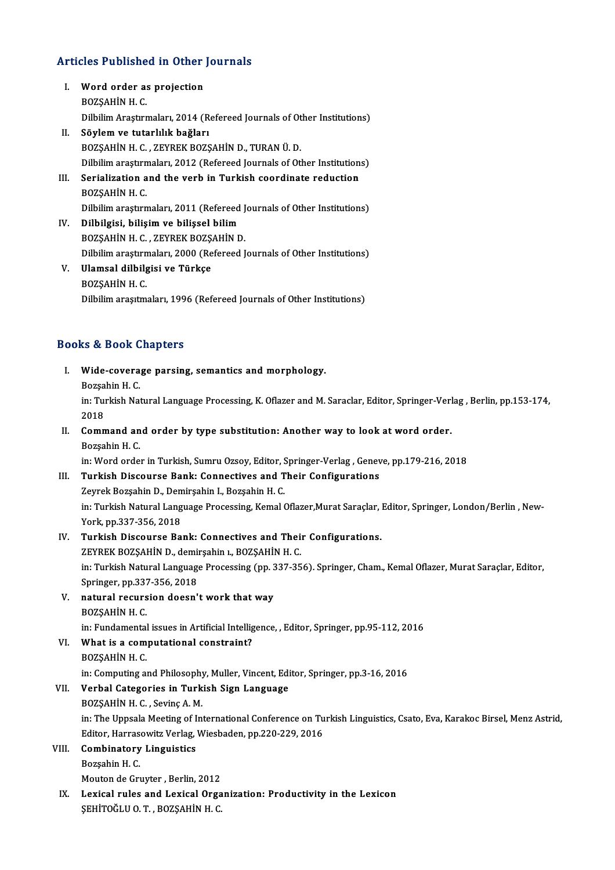# Articles Published in Other Journals

- The Ticles Published in Other<br>I. Word order as projection I. Word order as projection<br>BOZSAHİN H. C. Word order as projection<br>BOZŞAHİN H. C.<br>Dilbilim Araştırmaları, 2014 (Refereed Journals of Other Institutions)<br>Sövlem ve tutarlılık beğlenı BOZŞAHİN H. C.<br>Dilbilim Araştırmaları, 2014 (R<br>II. Söylem ve tutarlılık bağları<br>POZSAHİN H. G. ZEVPEK BOZS
- Dilbilim Araştırmaları, 2014 (Refereed Journals of Ot<br>Söylem ve tutarlılık bağları<br>BOZŞAHİN H. C. , ZEYREK BOZŞAHİN D., TURAN Ü. D.<br>Dilbilim exestrmaları, 2012 (Refereed Journals of Otl Söylem ve tutarlılık bağları<br>BOZŞAHİN H. C. , ZEYREK BOZŞAHİN D., TURAN Ü. D.<br>Dilbilim araştırmaları, 2012 (Refereed Journals of Other Institutions)<br>Serialization and the verb in Turkish seordinate redustion BOZŞAHİN H. C. , ZEYREK BOZŞAHİN D., TURAN Ü. D.<br>Dilbilim araştırmaları, 2012 (Refereed Journals of Other Institution<br>III. Serialization and the verb in Turkish coordinate reduction<br>BOZŞAHİN H. C.
- Dilbilim araştır<mark>n</mark><br>Serialization a<br>BOZŞAHİN H. C.<br>Dilbilim araştırn Serialization and the verb in Turkish coordinate reduction<br>BOZŞAHİN H. C.<br>Dilbilim araştırmaları, 2011 (Refereed Journals of Other Institutions)<br>Dilbilgiei, biligim ve bilisasl bilim
- IV. Dilbilgisi, bilişim ve bilişsel bilim<br>BOZŞAHİN H. C. , ZEYREK BOZŞAHİN D. Dilbilim araştırmaları, 2011 (Refereed J<br>Dilbilgisi, bilişim ve bilişsel bilim<br>BOZŞAHİN H. C. , ZEYREK BOZŞAHİN D.<br>Dilbilim arastırmaları, 2000 (Pefereed J Dilbilgisi, bilişim ve bilişsel bilim<br>BOZŞAHİN H. C. , ZEYREK BOZŞAHİN D.<br>Dilbilim araştırmaları, 2000 (Refereed Journals of Other Institutions)<br>Hlamsal dilbilgisi ve Türkee
- V. Ulamsal dilbilgisi ve Türkçe Dilbilim araştır<mark>n</mark><br>Ulamsal dilbil<sub>e</sub><br>BOZŞAHİN H. C.<br>Dilbilim araşıtm Dilbilim araşıtmaları, 1996 (Refereed Journals of Other Institutions)

### Books&Book Chapters

- ooks & Book Chapters<br>I. Wide-coverage parsing, semantics and morphology.<br>Regashin H.C. nd 2001<br>Bozşahin H. C.<br>Bozşahin H. C.
	-

Wide-coverage parsing, semantics and morphology.<br>Bozşahin H. C.<br>in: Turkish Natural Language Processing, K. Oflazer and M. Saraclar, Editor, Springer-Verlag , Berlin, pp.153-174,<br>2018 Bozşa<br>in: Tul<br>2018<br>Comm in: Turkish Natural Language Processing, K. Oflazer and M. Saraclar, Editor, Springer-Verl 2018<br>II. Command and order by type substitution: Another way to look at word order.<br>Persebin H. C.

## 2018<br>II. Command and order by type substitution: Another way to look at word order.<br>Bozşahin H. C.

in: Word order in Turkish, Sumru Ozsoy, Editor, Springer-Verlag, Geneve, pp.179-216, 2018

### III. Turkish Discourse Bank: Connectives and Their Configurations

in: Word order in Turkish, Sumru Ozsoy, Editor, S<br>Turkish Discourse Bank: Connectives and T<br>Zeyrek Bozşahin D., Demirşahin I., Bozşahin H. C.<br>in: Turkish Natural Language Brossesing, Komal ( in: Turkish Natural Language Processing, Kemal Oflazer,Murat Saraçlar, Editor, Springer, London/Berlin , New-York, pp.337-356, 2018 Zeyrek Bozşahin D., Den<br>in: Turkish Natural Lang<br>York, pp.337-356, 2018<br>Turkish Disseurse Ba

## In: Turkish Natural Language Processing, Kemal Oflazer, Murat Saraçlar,<br>York, pp.337-356, 2018<br>IV. Turkish Discourse Bank: Connectives and Their Configurations.<br>ZEVPEV POZSAHIN D. dominations. POZSAHIN H.C. York, pp.337-356, 2018<br><mark>Turkish Discourse Bank: Connectives and Thei</mark>:<br>ZEYREK BOZŞAHİN D., demirşahin ı., BOZŞAHİN H. C.<br>in: Turkish Natural Languege Bressesing (pp. 227-25

Turkish Discourse Bank: Connectives and Their Configurations.<br>ZEYREK BOZŞAHİN D., demirşahin ı., BOZŞAHİN H. C.<br>in: Turkish Natural Language Processing (pp. 337-356). Springer, Cham., Kemal Oflazer, Murat Saraçlar, Editor, ZEYREK BOZŞAHİN D., demi<br>in: Turkish Natural Languag<br>Springer, pp.337-356, 2018<br>natural nasurajan dasan' Springer, pp.337-356, 2018

V. natural recursion doesn't work that way<br>BOZSAHIN H. C. natural recursion doesn't work that way<br>BOZŞAHİN H. C.<br>in: Fundamental issues in Artificial Intelligence, , Editor, Springer, pp.95-112, 2016<br>What is a sommutational sonstraint?

### VI. What is a computational constraint?<br>BOZSAHIN H. C.

## in: Fundamental<br>What is a com<br>BOZŞAHİN H. C.<br>in: Computing al

What is a computational constraint?<br>BOZŞAHİN H. C.<br>in: Computing and Philosophy, Muller, Vincent, Editor, Springer, pp.3-16, 2016<br>Verbal Getegeries in Turkieb Sign Language

### VII. Verbal Categories in Turkish Sign Language<br>BOZSAHIN H. C., Sevinç A. M.

in: Computing and Philosophy<br>Verbal Categories in Turk<br>BOZŞAHİN H. C. , Sevinç A. M.<br>in: The Unnsala Mesting of In Verbal Categories in Turkish Sign Language<br>BOZŞAHİN H. C. , Sevinç A. M.<br>in: The Uppsala Meeting of International Conference on Turkish Linguistics, Csato, Eva, Karakoc Birsel, Menz Astrid,<br>Editor, Harresovitz Verlas Wiesb BOZŞAHİN H. C. , Sevinç A. M.<br>in: The Uppsala Meeting of International Conference on Tu<br>Editor, Harrasowitz Verlag, Wiesbaden, pp.220-229, 2016<br>Combinatory Linguistics Editor, Harrasowitz Verlag, Wiesbaden, pp.220-229, 2016

### VIII. Combinatory Linguistics<br>Bozsahin H. C.

Mouton de Gruyter, Berlin, 2012

IX. Lexical rules and Lexical Organization: Productivity in the Lexicon ŞEHİTOĞLU O.T., BOZŞAHİN H.C.